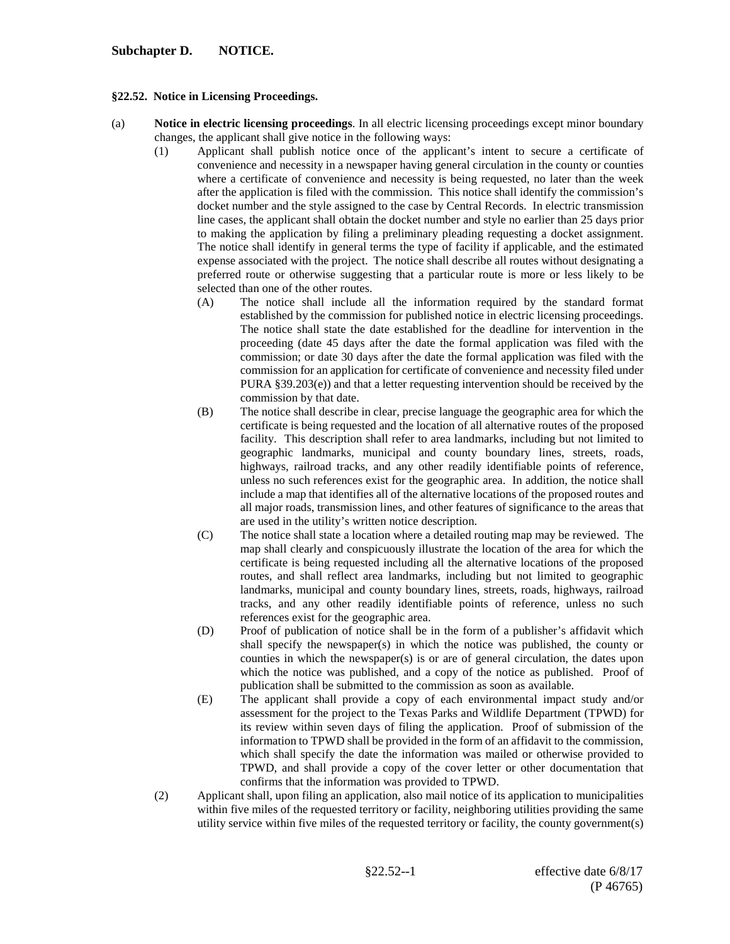## **Subchapter D. NOTICE.**

## **§22.52. Notice in Licensing Proceedings.**

- (a) **Notice in electric licensing proceedings**. In all electric licensing proceedings except minor boundary changes, the applicant shall give notice in the following ways:
	- (1) Applicant shall publish notice once of the applicant's intent to secure a certificate of convenience and necessity in a newspaper having general circulation in the county or counties where a certificate of convenience and necessity is being requested, no later than the week after the application is filed with the commission. This notice shall identify the commission's docket number and the style assigned to the case by Central Records. In electric transmission line cases, the applicant shall obtain the docket number and style no earlier than 25 days prior to making the application by filing a preliminary pleading requesting a docket assignment. The notice shall identify in general terms the type of facility if applicable, and the estimated expense associated with the project. The notice shall describe all routes without designating a preferred route or otherwise suggesting that a particular route is more or less likely to be selected than one of the other routes.
		- (A) The notice shall include all the information required by the standard format established by the commission for published notice in electric licensing proceedings. The notice shall state the date established for the deadline for intervention in the proceeding (date 45 days after the date the formal application was filed with the commission; or date 30 days after the date the formal application was filed with the commission for an application for certificate of convenience and necessity filed under PURA §39.203(e)) and that a letter requesting intervention should be received by the commission by that date.
		- (B) The notice shall describe in clear, precise language the geographic area for which the certificate is being requested and the location of all alternative routes of the proposed facility. This description shall refer to area landmarks, including but not limited to geographic landmarks, municipal and county boundary lines, streets, roads, highways, railroad tracks, and any other readily identifiable points of reference, unless no such references exist for the geographic area. In addition, the notice shall include a map that identifies all of the alternative locations of the proposed routes and all major roads, transmission lines, and other features of significance to the areas that are used in the utility's written notice description.
		- (C) The notice shall state a location where a detailed routing map may be reviewed. The map shall clearly and conspicuously illustrate the location of the area for which the certificate is being requested including all the alternative locations of the proposed routes, and shall reflect area landmarks, including but not limited to geographic landmarks, municipal and county boundary lines, streets, roads, highways, railroad tracks, and any other readily identifiable points of reference, unless no such references exist for the geographic area.
		- (D) Proof of publication of notice shall be in the form of a publisher's affidavit which shall specify the newspaper(s) in which the notice was published, the county or counties in which the newspaper(s) is or are of general circulation, the dates upon which the notice was published, and a copy of the notice as published. Proof of publication shall be submitted to the commission as soon as available.
		- (E) The applicant shall provide a copy of each environmental impact study and/or assessment for the project to the Texas Parks and Wildlife Department (TPWD) for its review within seven days of filing the application. Proof of submission of the information to TPWD shall be provided in the form of an affidavit to the commission, which shall specify the date the information was mailed or otherwise provided to TPWD, and shall provide a copy of the cover letter or other documentation that confirms that the information was provided to TPWD.
	- (2) Applicant shall, upon filing an application, also mail notice of its application to municipalities within five miles of the requested territory or facility, neighboring utilities providing the same utility service within five miles of the requested territory or facility, the county government(s)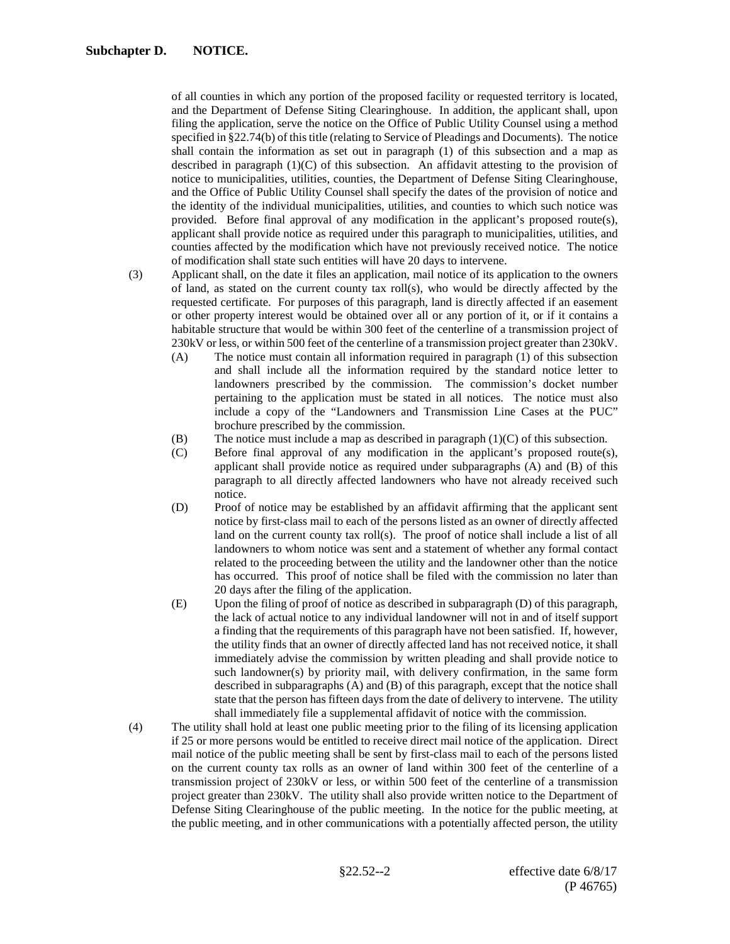of all counties in which any portion of the proposed facility or requested territory is located, and the Department of Defense Siting Clearinghouse. In addition, the applicant shall, upon filing the application, serve the notice on the Office of Public Utility Counsel using a method specified in §22.74(b) of this title (relating to Service of Pleadings and Documents). The notice shall contain the information as set out in paragraph (1) of this subsection and a map as described in paragraph  $(1)(C)$  of this subsection. An affidavit attesting to the provision of notice to municipalities, utilities, counties, the Department of Defense Siting Clearinghouse, and the Office of Public Utility Counsel shall specify the dates of the provision of notice and the identity of the individual municipalities, utilities, and counties to which such notice was provided. Before final approval of any modification in the applicant's proposed route(s), applicant shall provide notice as required under this paragraph to municipalities, utilities, and counties affected by the modification which have not previously received notice. The notice of modification shall state such entities will have 20 days to intervene.

- (3) Applicant shall, on the date it files an application, mail notice of its application to the owners of land, as stated on the current county tax roll(s), who would be directly affected by the requested certificate. For purposes of this paragraph, land is directly affected if an easement or other property interest would be obtained over all or any portion of it, or if it contains a habitable structure that would be within 300 feet of the centerline of a transmission project of 230kV or less, or within 500 feet of the centerline of a transmission project greater than 230kV.
	- (A) The notice must contain all information required in paragraph (1) of this subsection and shall include all the information required by the standard notice letter to landowners prescribed by the commission. The commission's docket number pertaining to the application must be stated in all notices. The notice must also include a copy of the "Landowners and Transmission Line Cases at the PUC" brochure prescribed by the commission.
	- (B) The notice must include a map as described in paragraph (1)(C) of this subsection.
	- (C) Before final approval of any modification in the applicant's proposed route(s), applicant shall provide notice as required under subparagraphs (A) and (B) of this paragraph to all directly affected landowners who have not already received such notice.
	- (D) Proof of notice may be established by an affidavit affirming that the applicant sent notice by first-class mail to each of the persons listed as an owner of directly affected land on the current county tax roll(s). The proof of notice shall include a list of all landowners to whom notice was sent and a statement of whether any formal contact related to the proceeding between the utility and the landowner other than the notice has occurred. This proof of notice shall be filed with the commission no later than 20 days after the filing of the application.
	- (E) Upon the filing of proof of notice as described in subparagraph (D) of this paragraph, the lack of actual notice to any individual landowner will not in and of itself support a finding that the requirements of this paragraph have not been satisfied. If, however, the utility finds that an owner of directly affected land has not received notice, it shall immediately advise the commission by written pleading and shall provide notice to such landowner(s) by priority mail, with delivery confirmation, in the same form described in subparagraphs (A) and (B) of this paragraph, except that the notice shall state that the person has fifteen days from the date of delivery to intervene. The utility shall immediately file a supplemental affidavit of notice with the commission.
- (4) The utility shall hold at least one public meeting prior to the filing of its licensing application if 25 or more persons would be entitled to receive direct mail notice of the application. Direct mail notice of the public meeting shall be sent by first-class mail to each of the persons listed on the current county tax rolls as an owner of land within 300 feet of the centerline of a transmission project of 230kV or less, or within 500 feet of the centerline of a transmission project greater than 230kV. The utility shall also provide written notice to the Department of Defense Siting Clearinghouse of the public meeting. In the notice for the public meeting, at the public meeting, and in other communications with a potentially affected person, the utility